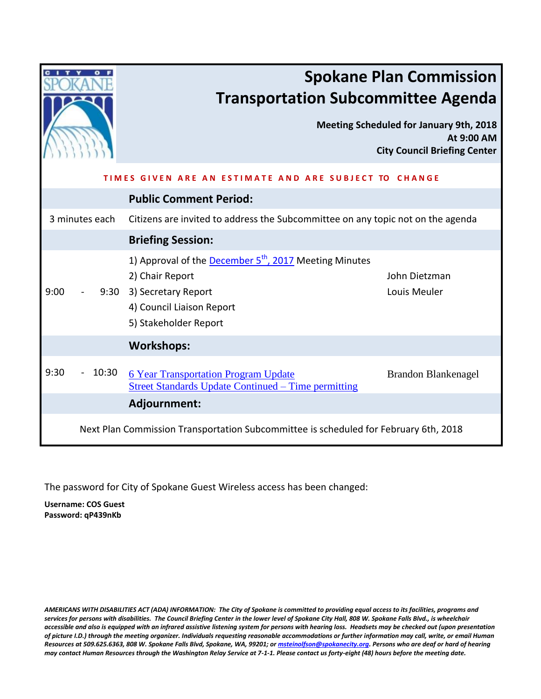|                | <b>Transportation Subcommittee Agenda</b>                                                                                                                               | <b>Spokane Plan Commission</b><br><b>Meeting Scheduled for January 9th, 2018</b><br>At 9:00 AM<br><b>City Council Briefing Center</b> |
|----------------|-------------------------------------------------------------------------------------------------------------------------------------------------------------------------|---------------------------------------------------------------------------------------------------------------------------------------|
| <b>TIMFS</b>   | <b>IVEN ARE AN</b><br>AND ARE SUBJECT TO CHANGE<br><b>FSTIMATE</b>                                                                                                      |                                                                                                                                       |
|                | <b>Public Comment Period:</b>                                                                                                                                           |                                                                                                                                       |
| 3 minutes each | Citizens are invited to address the Subcommittee on any topic not on the agenda                                                                                         |                                                                                                                                       |
|                | <b>Briefing Session:</b>                                                                                                                                                |                                                                                                                                       |
| 9:00           | 1) Approval of the December 5 <sup>th</sup> , 2017 Meeting Minutes<br>2) Chair Report<br>9:30 3) Secretary Report<br>4) Council Liaison Report<br>5) Stakeholder Report | John Dietzman<br>Louis Meuler                                                                                                         |
|                | <b>Workshops:</b>                                                                                                                                                       |                                                                                                                                       |
| 9:30<br>10:30  | <b>6 Year Transportation Program Update</b><br><b>Street Standards Update Continued – Time permitting</b>                                                               | Brandon Blankenagel                                                                                                                   |
|                | Adjournment:                                                                                                                                                            |                                                                                                                                       |
|                | Next Plan Commission Transportation Subcommittee is scheduled for February 6th, 2018                                                                                    |                                                                                                                                       |

The password for City of Spokane Guest Wireless access has been changed:

**Username: COS Guest Password: qP439nKb**

*AMERICANS WITH DISABILITIES ACT (ADA) INFORMATION: The City of Spokane is committed to providing equal access to its facilities, programs and services for persons with disabilities. The Council Briefing Center in the lower level of Spokane City Hall, 808 W. Spokane Falls Blvd., is wheelchair accessible and also is equipped with an infrared assistive listening system for persons with hearing loss. Headsets may be checked out (upon presentation of picture I.D.) through the meeting organizer. Individuals requesting reasonable accommodations or further information may call, write, or email Human Resources at 509.625.6363, 808 W. Spokane Falls Blvd, Spokane, WA, 99201; o[r msteinolfson@spokanecity.org.](mailto:msteinolfson@spokanecity.org) Persons who are deaf or hard of hearing may contact Human Resources through the Washington Relay Service at 7-1-1. Please contact us forty-eight (48) hours before the meeting date.*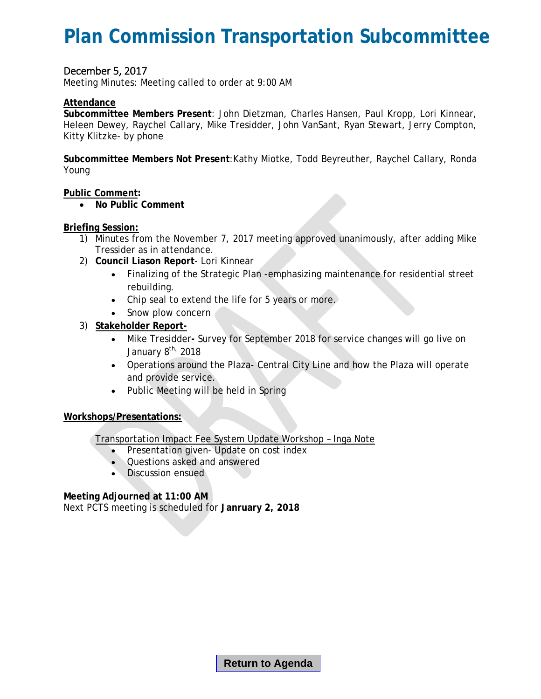### <span id="page-1-0"></span>**Plan Commission Transportation Subcommittee**

#### December 5, 2017

Meeting Minutes: Meeting called to order at 9:00 AM

#### **Attendance**

**Subcommittee Members Present**: John Dietzman, Charles Hansen, Paul Kropp, Lori Kinnear, Heleen Dewey, Raychel Callary, Mike Tresidder, John VanSant, Ryan Stewart, Jerry Compton, Kitty Klitzke- by phone

**Subcommittee Members Not Present**:Kathy Miotke, Todd Beyreuther, Raychel Callary, Ronda Young

**Public Comment:**

• **No Public Comment** 

#### **Briefing Session:**

- 1) Minutes from the November 7, 2017 meeting approved unanimously, after adding Mike Tressider as in attendance.
- 2) **Council Liason Report** Lori Kinnear
	- Finalizing of the Strategic Plan -emphasizing maintenance for residential street rebuilding.
	- Chip seal to extend the life for 5 years or more.
	- Snow plow concern
- 3) **Stakeholder Report-**
	- Mike Tresidder**-** Survey for September 2018 for service changes will go live on January 8<sup>th,</sup> 2018
	- Operations around the Plaza- Central City Line and how the Plaza will operate and provide service.
	- Public Meeting will be held in Spring

#### **Workshops/Presentations:**

Transportation Impact Fee System Update Workshop – Inga Note

- Presentation given- Update on cost index
- Questions asked and answered
- Discussion ensued

#### **Meeting Adjourned at 11:00 AM**

Next PCTS meeting is scheduled for **Janruary 2, 2018**

**Return to Agenda**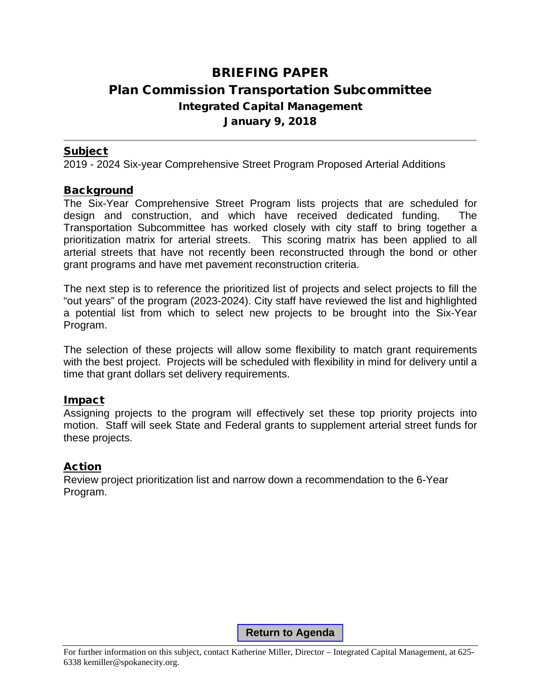### <span id="page-2-0"></span>BRIEFING PAPER Plan Commission Transportation Subcommittee Integrated Capital Management January 9, 2018

### Subject

2019 - 2024 Six-year Comprehensive Street Program Proposed Arterial Additions

### **Background**

The Six-Year Comprehensive Street Program lists projects that are scheduled for design and construction, and which have received dedicated funding. The Transportation Subcommittee has worked closely with city staff to bring together a prioritization matrix for arterial streets. This scoring matrix has been applied to all arterial streets that have not recently been reconstructed through the bond or other grant programs and have met pavement reconstruction criteria.

The next step is to reference the prioritized list of projects and select projects to fill the "out years" of the program (2023-2024). City staff have reviewed the list and highlighted a potential list from which to select new projects to be brought into the Six-Year Program.

The selection of these projects will allow some flexibility to match grant requirements with the best project. Projects will be scheduled with flexibility in mind for delivery until a time that grant dollars set delivery requirements.

### Impact

Assigning projects to the program will effectively set these top priority projects into motion. Staff will seek State and Federal grants to supplement arterial street funds for these projects.

### Action

Review project prioritization list and narrow down a recommendation to the 6-Year Program.

**Return to Agenda**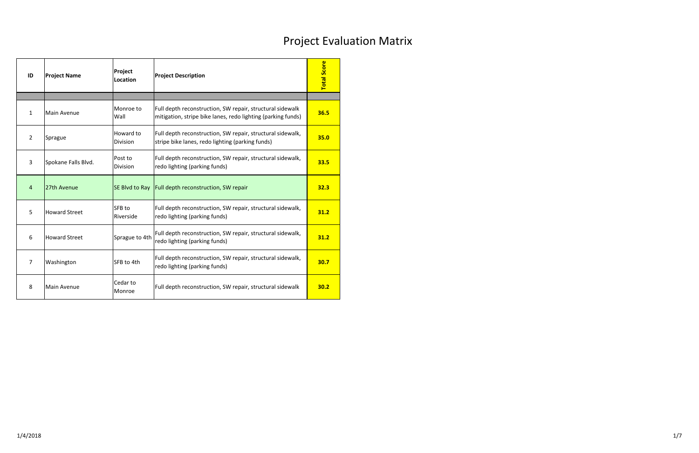<span id="page-3-0"></span>

| ID             | <b>Project Name</b>  | Project<br><b>Location</b> | <b>Project Description</b>                                                                                                | <b>Total Score</b> |
|----------------|----------------------|----------------------------|---------------------------------------------------------------------------------------------------------------------------|--------------------|
|                |                      |                            |                                                                                                                           |                    |
| $\mathbf{1}$   | Main Avenue          | Monroe to<br>Wall          | Full depth reconstruction, SW repair, structural sidewalk<br>mitigation, stripe bike lanes, redo lighting (parking funds) | 36.5               |
| $\overline{2}$ | Sprague              | Howard to<br>Division      | Full depth reconstruction, SW repair, structural sidewalk,<br>stripe bike lanes, redo lighting (parking funds)            | 35.0               |
| $\overline{3}$ | Spokane Falls Blvd.  | Post to<br><b>Division</b> | Full depth reconstruction, SW repair, structural sidewalk,<br>redo lighting (parking funds)                               | 33.5               |
| $\overline{4}$ | 27th Avenue          | SE Blvd to Ray             | Full depth reconstruction, SW repair                                                                                      | 32.3               |
| 5              | <b>Howard Street</b> | SFB to<br>Riverside        | Full depth reconstruction, SW repair, structural sidewalk,<br>redo lighting (parking funds)                               | 31.2               |
| 6              | <b>Howard Street</b> | Sprague to 4th             | Full depth reconstruction, SW repair, structural sidewalk,<br>redo lighting (parking funds)                               | 31.2               |
| $\overline{7}$ | Washington           | SFB to 4th                 | Full depth reconstruction, SW repair, structural sidewalk,<br>redo lighting (parking funds)                               | 30.7               |
| 8              | Main Avenue          | Cedar to<br>Monroe         | Full depth reconstruction, SW repair, structural sidewalk                                                                 | 30.2               |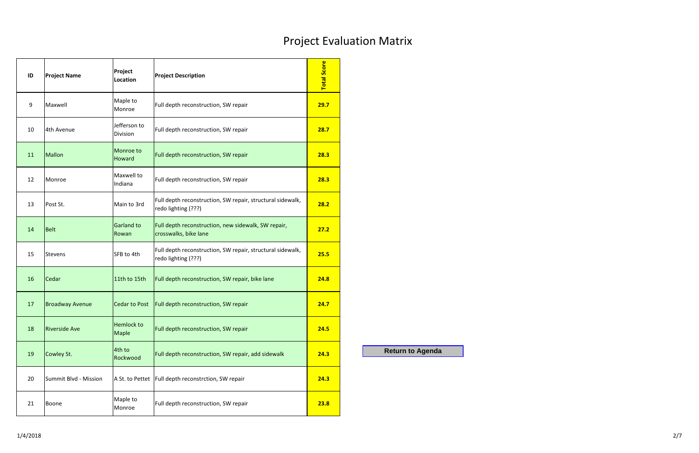| ID               | <b>Project Name</b>    | Project<br>Location               | <b>Project Description</b>                                                        | <b>Total Score</b> |
|------------------|------------------------|-----------------------------------|-----------------------------------------------------------------------------------|--------------------|
| $\boldsymbol{9}$ | Maxwell                | Maple to<br>Monroe                | Full depth reconstruction, SW repair                                              | 29.7               |
| 10               | 4th Avenue             | Jefferson to<br>Division          | Full depth reconstruction, SW repair                                              | 28.7               |
| 11               | <b>Mallon</b>          | Monroe to<br>Howard               | Full depth reconstruction, SW repair                                              | 28.3               |
| 12               | Monroe                 | Maxwell to<br>Indiana             | Full depth reconstruction, SW repair                                              | 28.3               |
| 13               | Post St.               | Main to 3rd                       | Full depth reconstruction, SW repair, structural sidewalk,<br>redo lighting (???) | 28.2               |
| 14               | <b>Belt</b>            | Garland to<br>Rowan               | Full depth reconstruction, new sidewalk, SW repair,<br>crosswalks, bike lane      | 27.2               |
| 15               | <b>Stevens</b>         | SFB to 4th                        | Full depth reconstruction, SW repair, structural sidewalk,<br>redo lighting (???) | 25.5               |
| 16               | Cedar                  | 11th to 15th                      | Full depth reconstruction, SW repair, bike lane                                   | 24.8               |
| 17               | <b>Broadway Avenue</b> | <b>Cedar to Post</b>              | Full depth reconstruction, SW repair                                              | 24.7               |
| 18               | <b>Riverside Ave</b>   | <b>Hemlock to</b><br><b>Maple</b> | Full depth reconstruction, SW repair                                              | 24.5               |
| 19               | Cowley St.             | 4th to<br>Rockwood                | Full depth reconstruction, SW repair, add sidewalk                                | 24.3               |
| 20               | Summit Blvd - Mission  |                                   | A St. to Pettet   Full depth reconstrction, SW repair                             | 24.3               |
| 21               | <b>Boone</b>           | Maple to<br>Monroe                | Full depth reconstruction, SW repair                                              | 23.8               |

**Return to Agenda**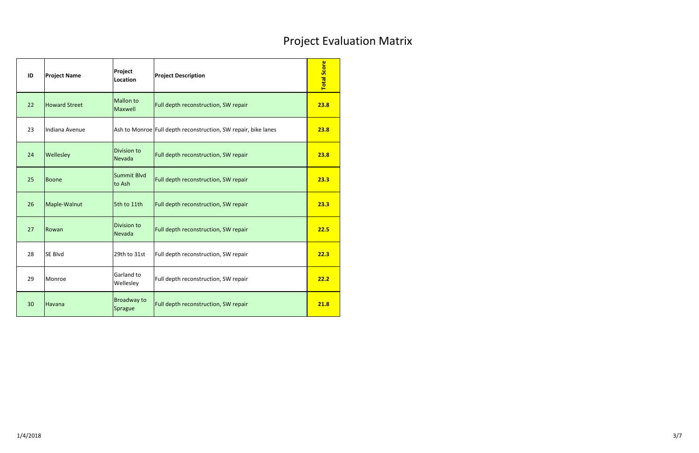| ID | <b>Project Name</b>  | Project<br>Location           | <b>Project Description</b>                                     | <b>Total Score</b> |
|----|----------------------|-------------------------------|----------------------------------------------------------------|--------------------|
| 22 | <b>Howard Street</b> | <b>Mallon to</b><br>Maxwell   | Full depth reconstruction, SW repair                           | 23.8               |
| 23 | Indiana Avenue       |                               | Ash to Monroe Full depth reconstruction, SW repair, bike lanes | 23.8               |
| 24 | Wellesley            | Division to<br>Nevada         | Full depth reconstruction, SW repair                           | 23.8               |
| 25 | <b>Boone</b>         | <b>Summit Blvd</b><br>to Ash  | Full depth reconstruction, SW repair                           | 23.3               |
| 26 | Maple-Walnut         | 5th to 11th                   | Full depth reconstruction, SW repair                           | 23.3               |
| 27 | Rowan                | Division to<br>Nevada         | Full depth reconstruction, SW repair                           | 22.5               |
| 28 | <b>SE Blvd</b>       | 29th to 31st                  | Full depth reconstruction, SW repair                           | 22.3               |
| 29 | Monroe               | Garland to<br>Wellesley       | Full depth reconstruction, SW repair                           | 22.2               |
| 30 | Havana               | <b>Broadway to</b><br>Sprague | Full depth reconstruction, SW repair                           | 21.8               |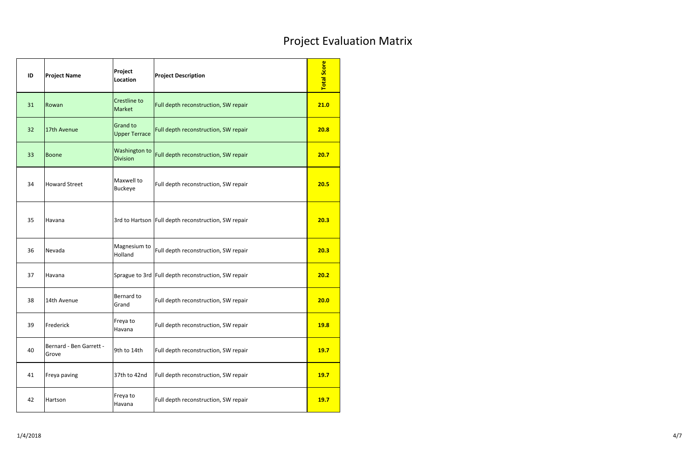| ID | <b>Project Name</b>              | Project<br>Location                     | <b>Project Description</b>                            | <b>Total Score</b> |
|----|----------------------------------|-----------------------------------------|-------------------------------------------------------|--------------------|
| 31 | Rowan                            | Crestline to<br>Market                  | Full depth reconstruction, SW repair                  | 21.0               |
| 32 | 17th Avenue                      | <b>Grand to</b><br><b>Upper Terrace</b> | Full depth reconstruction, SW repair                  | 20.8               |
| 33 | <b>Boone</b>                     | Washington to<br><b>Division</b>        | Full depth reconstruction, SW repair                  | 20.7               |
| 34 | <b>Howard Street</b>             | Maxwell to<br><b>Buckeye</b>            | Full depth reconstruction, SW repair                  | 20.5               |
| 35 | Havana                           |                                         | 3rd to Hartson   Full depth reconstruction, SW repair | 20.3               |
| 36 | Nevada                           | Magnesium to<br>Holland                 | Full depth reconstruction, SW repair                  | 20.3               |
| 37 | Havana                           |                                         | Sprague to 3rd Full depth reconstruction, SW repair   | 20.2               |
| 38 | 14th Avenue                      | Bernard to<br>Grand                     | Full depth reconstruction, SW repair                  | 20.0               |
| 39 | Frederick                        | Freya to<br>Havana                      | Full depth reconstruction, SW repair                  | <b>19.8</b>        |
| 40 | Bernard - Ben Garrett -<br>Grove | 9th to 14th                             | Full depth reconstruction, SW repair                  | <b>19.7</b>        |
| 41 | Freya paving                     | 37th to 42nd                            | Full depth reconstruction, SW repair                  | <b>19.7</b>        |
| 42 | Hartson                          | Freya to<br>Havana                      | Full depth reconstruction, SW repair                  | 19.7               |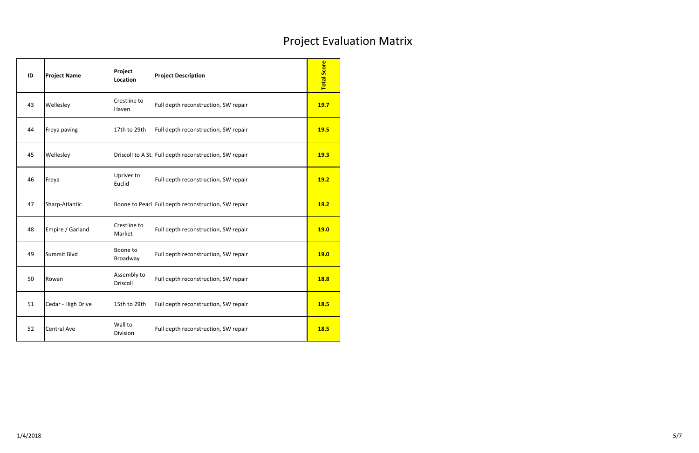| ID | <b>Project Name</b> | Project<br>Location     | <b>Project Description</b>                             | <b>Total Score</b> |
|----|---------------------|-------------------------|--------------------------------------------------------|--------------------|
| 43 | Wellesley           | Crestline to<br>Haven   | Full depth reconstruction, SW repair                   | <b>19.7</b>        |
| 44 | Freya paving        | 17th to 29th            | Full depth reconstruction, SW repair                   | <b>19.5</b>        |
| 45 | Wellesley           |                         | Driscoll to A St. Full depth reconstruction, SW repair | 19.3               |
| 46 | Freya               | Upriver to<br>Euclid    | Full depth reconstruction, SW repair                   | <b>19.2</b>        |
| 47 | Sharp-Atlantic      |                         | Boone to Pearl Full depth reconstruction, SW repair    | <b>19.2</b>        |
| 48 | Empire / Garland    | Crestline to<br>Market  | Full depth reconstruction, SW repair                   | <b>19.0</b>        |
| 49 | Summit Blvd         | Boone to<br>Broadway    | Full depth reconstruction, SW repair                   | 19.0               |
| 50 | Rowan               | Assembly to<br>Driscoll | Full depth reconstruction, SW repair                   | 18.8               |
| 51 | Cedar - High Drive  | 15th to 29th            | Full depth reconstruction, SW repair                   | <b>18.5</b>        |
| 52 | <b>Central Ave</b>  | Wall to<br>Division     | Full depth reconstruction, SW repair                   | <b>18.5</b>        |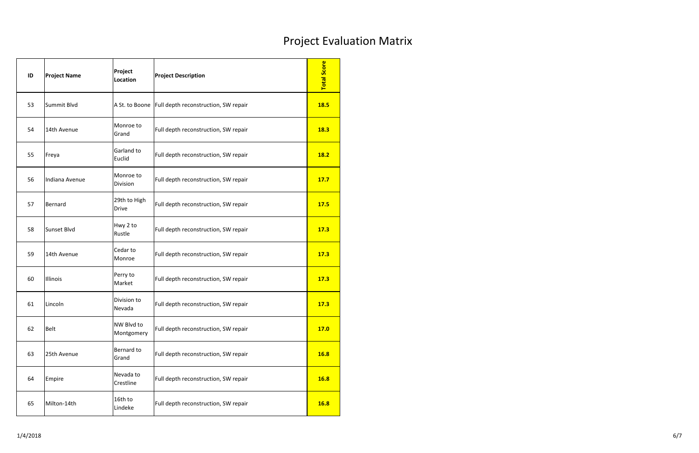| ID | <b>Project Name</b> | Project<br>Location          | <b>Project Description</b>                            | <b>Total Score</b> |
|----|---------------------|------------------------------|-------------------------------------------------------|--------------------|
| 53 | Summit Blvd         |                              | A St. to Boone   Full depth reconstruction, SW repair | <b>18.5</b>        |
| 54 | 14th Avenue         | Monroe to<br>Grand           | Full depth reconstruction, SW repair                  | <b>18.3</b>        |
| 55 | Freya               | Garland to<br>Euclid         | Full depth reconstruction, SW repair                  | <b>18.2</b>        |
| 56 | Indiana Avenue      | Monroe to<br>Division        | Full depth reconstruction, SW repair                  | 17.7               |
| 57 | Bernard             | 29th to High<br><b>Drive</b> | Full depth reconstruction, SW repair                  | <b>17.5</b>        |
| 58 | Sunset Blvd         | Hwy 2 to<br>Rustle           | Full depth reconstruction, SW repair                  | 17.3               |
| 59 | 14th Avenue         | Cedar to<br>Monroe           | Full depth reconstruction, SW repair                  | 17.3               |
| 60 | Illinois            | Perry to<br>Market           | Full depth reconstruction, SW repair                  | 17.3               |
| 61 | Lincoln             | Division to<br>Nevada        | Full depth reconstruction, SW repair                  | 17.3               |
| 62 | <b>Belt</b>         | NW Blvd to<br>Montgomery     | Full depth reconstruction, SW repair                  | <b>17.0</b>        |
| 63 | 25th Avenue         | Bernard to<br>Grand          | Full depth reconstruction, SW repair                  | <b>16.8</b>        |
| 64 | Empire              | Nevada to<br>Crestline       | Full depth reconstruction, SW repair                  | <b>16.8</b>        |
| 65 | Milton-14th         | 16th to<br>Lindeke           | Full depth reconstruction, SW repair                  | <b>16.8</b>        |